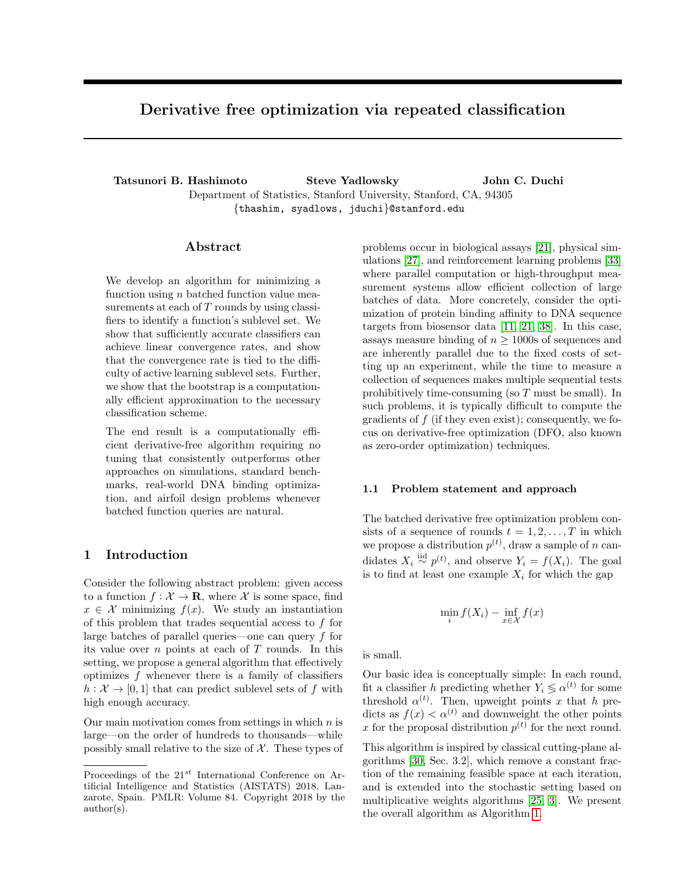# Derivative free optimization via repeated classification

Tatsunori B. Hashimoto Steve Yadlowsky John C. Duchi Department of Statistics, Stanford University, Stanford, CA, 94305 {thashim, syadlows, jduchi}@stanford.edu

# Abstract

We develop an algorithm for minimizing a function using  $n$  batched function value measurements at each of  $T$  rounds by using classifiers to identify a function's sublevel set. We show that sufficiently accurate classifiers can achieve linear convergence rates, and show that the convergence rate is tied to the difficulty of active learning sublevel sets. Further, we show that the bootstrap is a computationally efficient approximation to the necessary classification scheme.

The end result is a computationally efficient derivative-free algorithm requiring no tuning that consistently outperforms other approaches on simulations, standard benchmarks, real-world DNA binding optimization, and airfoil design problems whenever batched function queries are natural.

# 1 Introduction

Consider the following abstract problem: given access to a function  $f: \mathcal{X} \to \mathbf{R}$ , where X is some space, find  $x \in \mathcal{X}$  minimizing  $f(x)$ . We study an instantiation of this problem that trades sequential access to f for large batches of parallel queries—one can query f for its value over  $n$  points at each of  $T$  rounds. In this setting, we propose a general algorithm that effectively optimizes f whenever there is a family of classifiers  $h: \mathcal{X} \to [0, 1]$  that can predict sublevel sets of f with high enough accuracy.

Our main motivation comes from settings in which  $n$  is large—on the order of hundreds to thousands—while possibly small relative to the size of  $X$ . These types of

problems occur in biological assays [\[21\]](#page-8-0), physical simulations [\[27\]](#page-9-0), and reinforcement learning problems [\[33\]](#page-9-1) where parallel computation or high-throughput measurement systems allow efficient collection of large batches of data. More concretely, consider the optimization of protein binding affinity to DNA sequence targets from biosensor data [\[11,](#page-8-1) [21,](#page-8-0) [38\]](#page-9-2). In this case, assays measure binding of  $n \geq 1000$ s of sequences and are inherently parallel due to the fixed costs of setting up an experiment, while the time to measure a collection of sequences makes multiple sequential tests prohibitively time-consuming (so  $T$  must be small). In such problems, it is typically difficult to compute the gradients of  $f$  (if they even exist); consequently, we focus on derivative-free optimization (DFO, also known as zero-order optimization) techniques.

### 1.1 Problem statement and approach

The batched derivative free optimization problem consists of a sequence of rounds  $t = 1, 2, \ldots, T$  in which we propose a distribution  $p^{(t)}$ , draw a sample of n candidates  $X_i \stackrel{\text{iid}}{\sim} p^{(t)}$ , and observe  $Y_i = f(X_i)$ . The goal is to find at least one example  $X_i$  for which the gap

$$
\min_{i} f(X_i) - \inf_{x \in \mathcal{X}} f(x)
$$

is small.

Our basic idea is conceptually simple: In each round, fit a classifier h predicting whether  $Y_i \lessgtr \alpha^{(t)}$  for some threshold  $\alpha^{(t)}$ . Then, upweight points x that h predicts as  $f(x) < \alpha^{(t)}$  and downweight the other points x for the proposal distribution  $p^{(t)}$  for the next round.

This algorithm is inspired by classical cutting-plane algorithms [\[30,](#page-9-3) Sec. 3.2], which remove a constant fraction of the remaining feasible space at each iteration, and is extended into the stochastic setting based on multiplicative weights algorithms [\[25,](#page-9-4) [3\]](#page-8-2). We present the overall algorithm as Algorithm [1.](#page-1-0)

Proceedings of the  $21^{st}$  International Conference on Artificial Intelligence and Statistics (AISTATS) 2018, Lanzarote, Spain. PMLR: Volume 84. Copyright 2018 by the author(s).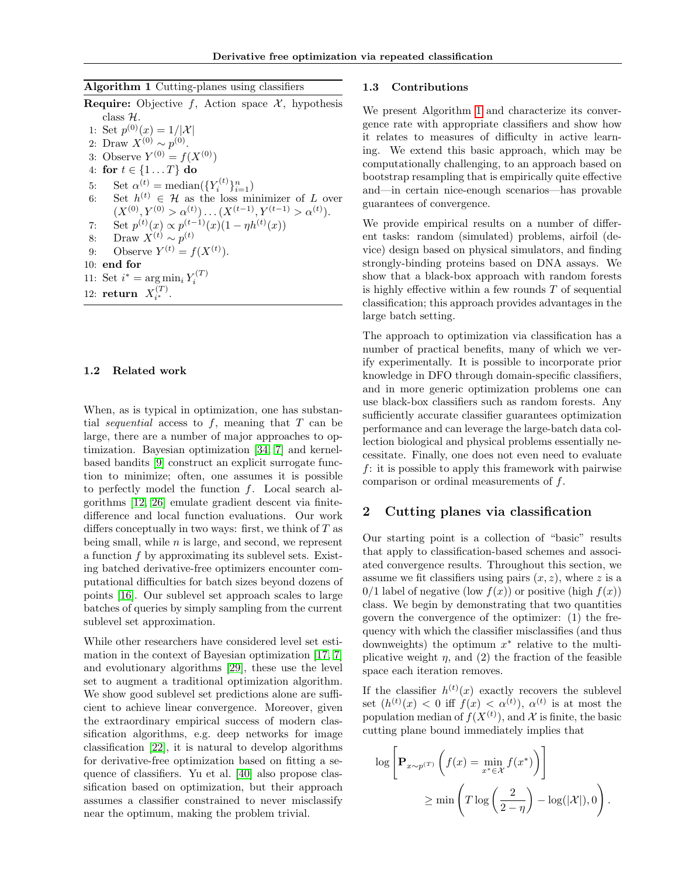<span id="page-1-0"></span>

|  |  |  | Algorithm 1 Cutting-planes using classifiers |  |  |
|--|--|--|----------------------------------------------|--|--|
|--|--|--|----------------------------------------------|--|--|

| $\frac{1}{2}$                                                                    |
|----------------------------------------------------------------------------------|
| <b>Require:</b> Objective f, Action space $\mathcal{X}$ , hypothesis             |
| class $\mathcal{H}$ .                                                            |
| 1: Set $p^{(0)}(x) = 1/ \mathcal{X} $                                            |
| 2: Draw $X^{(0)} \sim p^{(0)}$ .                                                 |
| 3: Observe $Y^{(0)} = f(X^{(0)})$                                                |
| 4: for $t \in \{1T\}$ do                                                         |
| Set $\alpha^{(t)} = \text{median}(\{Y_i^{(t)}\}_{i=1}^n)$<br>5:                  |
| Set $h^{(t)} \in \mathcal{H}$ as the loss minimizer of L over<br>6:              |
| $(X^{(0)}, Y^{(0)} > \alpha^{(t)}) \dots (X^{(t-1)}, Y^{(t-1)} > \alpha^{(t)}).$ |
| Set $p^{(t)}(x) \propto p^{(t-1)}(x)(1 - \eta h^{(t)}(x))$<br>7:                 |
| Draw $X^{(t)} \sim p^{(t)}$<br>8:                                                |
| Observe $Y^{(t)} = f(X^{(t)})$ .<br>9:                                           |
| $10:$ end for                                                                    |
| 11: Set $i^* = \arg \min_i Y_i^{(T)}$                                            |
| $\sqrt{T}$                                                                       |

# 12: **return**  $X_{i^*}^{(T)}$ .

### 1.2 Related work

When, as is typical in optimization, one has substantial *sequential* access to f, meaning that  $T$  can be large, there are a number of major approaches to optimization. Bayesian optimization [\[34,](#page-9-5) [7\]](#page-8-3) and kernelbased bandits [\[9\]](#page-8-4) construct an explicit surrogate function to minimize; often, one assumes it is possible to perfectly model the function  $f$ . Local search algorithms [\[12,](#page-8-5) [26\]](#page-9-6) emulate gradient descent via finitedifference and local function evaluations. Our work differs conceptually in two ways: first, we think of  $T$  as being small, while  $n$  is large, and second, we represent a function f by approximating its sublevel sets. Existing batched derivative-free optimizers encounter computational difficulties for batch sizes beyond dozens of points [\[16\]](#page-8-6). Our sublevel set approach scales to large batches of queries by simply sampling from the current sublevel set approximation.

While other researchers have considered level set estimation in the context of Bayesian optimization [\[17,](#page-8-7) [7\]](#page-8-3) and evolutionary algorithms [\[29\]](#page-9-7), these use the level set to augment a traditional optimization algorithm. We show good sublevel set predictions alone are sufficient to achieve linear convergence. Moreover, given the extraordinary empirical success of modern classification algorithms, e.g. deep networks for image classification [\[22\]](#page-8-8), it is natural to develop algorithms for derivative-free optimization based on fitting a sequence of classifiers. Yu et al. [\[40\]](#page-9-8) also propose classification based on optimization, but their approach assumes a classifier constrained to never misclassify near the optimum, making the problem trivial.

### 1.3 Contributions

We present Algorithm [1](#page-1-0) and characterize its convergence rate with appropriate classifiers and show how it relates to measures of difficulty in active learning. We extend this basic approach, which may be computationally challenging, to an approach based on bootstrap resampling that is empirically quite effective and—in certain nice-enough scenarios—has provable guarantees of convergence.

We provide empirical results on a number of different tasks: random (simulated) problems, airfoil (device) design based on physical simulators, and finding strongly-binding proteins based on DNA assays. We show that a black-box approach with random forests is highly effective within a few rounds  $T$  of sequential classification; this approach provides advantages in the large batch setting.

The approach to optimization via classification has a number of practical benefits, many of which we verify experimentally. It is possible to incorporate prior knowledge in DFO through domain-specific classifiers, and in more generic optimization problems one can use black-box classifiers such as random forests. Any sufficiently accurate classifier guarantees optimization performance and can leverage the large-batch data collection biological and physical problems essentially necessitate. Finally, one does not even need to evaluate  $f$ : it is possible to apply this framework with pairwise comparison or ordinal measurements of  $f$ .

# 2 Cutting planes via classification

Our starting point is a collection of "basic" results that apply to classification-based schemes and associated convergence results. Throughout this section, we assume we fit classifiers using pairs  $(x, z)$ , where z is a 0/1 label of negative (low  $f(x)$ ) or positive (high  $f(x)$ ) class. We begin by demonstrating that two quantities govern the convergence of the optimizer: (1) the frequency with which the classifier misclassifies (and thus downweights) the optimum  $x^*$  relative to the multiplicative weight  $\eta$ , and (2) the fraction of the feasible space each iteration removes.

If the classifier  $h^{(t)}(x)$  exactly recovers the sublevel set  $(h^{(t)}(x) < 0$  iff  $f(x) < \alpha^{(t)}$ ,  $\alpha^{(t)}$  is at most the population median of  $f(X^{(t)})$ , and X is finite, the basic cutting plane bound immediately implies that

$$
\log \left[ \mathbf{P}_{x \sim p^{(T)}} \left( f(x) = \min_{x^* \in \mathcal{X}} f(x^*) \right) \right]
$$
  
 
$$
\geq \min \left( T \log \left( \frac{2}{2 - \eta} \right) - \log(|\mathcal{X}|), 0 \right).
$$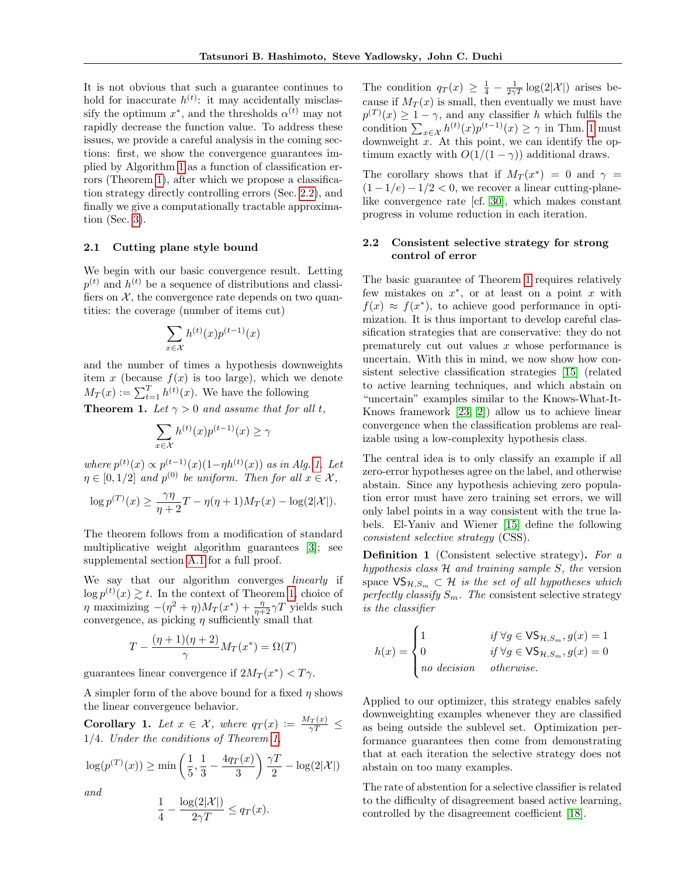It is not obvious that such a guarantee continues to hold for inaccurate  $h^{(t)}$ : it may accidentally misclassify the optimum  $x^*$ , and the thresholds  $\alpha^{(t)}$  may not rapidly decrease the function value. To address these issues, we provide a careful analysis in the coming sections: first, we show the convergence guarantees implied by Algorithm [1](#page-1-0) as a function of classification errors (Theorem [1\)](#page-2-0), after which we propose a classification strategy directly controlling errors (Sec. [2.2\)](#page-2-1), and finally we give a computationally tractable approximation (Sec. [3\)](#page-3-0).

## 2.1 Cutting plane style bound

We begin with our basic convergence result. Letting  $p^{(t)}$  and  $h^{(t)}$  be a sequence of distributions and classifiers on  $X$ , the convergence rate depends on two quantities: the coverage (number of items cut)

$$
\sum_{x \in \mathcal{X}} h^{(t)}(x) p^{(t-1)}(x)
$$

and the number of times a hypothesis downweights item x (because  $f(x)$  is too large), which we denote  $M_T(x) := \sum_{t=1}^T h^{(t)}(x)$ . We have the following

<span id="page-2-0"></span>**Theorem 1.** Let  $\gamma > 0$  and assume that for all t,

$$
\sum_{x \in \mathcal{X}} h^{(t)}(x) p^{(t-1)}(x) \ge \gamma
$$

where  $p^{(t)}(x) \propto p^{(t-1)}(x)(1-\eta h^{(t)}(x))$  as in Alg. [1.](#page-1-0) Let  $\eta \in [0, 1/2]$  and  $p^{(0)}$  be uniform. Then for all  $x \in \mathcal{X}$ ,

$$
\log p^{(T)}(x) \ge \frac{\gamma\eta}{\eta+2}T - \eta(\eta+1)M_T(x) - \log(2|\mathcal{X}|).
$$

The theorem follows from a modification of standard multiplicative weight algorithm guarantees [\[3\]](#page-8-2); see supplemental section A.1 for a full proof.

We say that our algorithm converges *linearly* if  $\log p^{(t)}(x) \gtrsim t$ . In the context of Theorem [1,](#page-2-0) choice of  $\eta$  maximizing  $-(\eta^2 + \eta)M_T(x^*) + \frac{\eta}{\eta+2}\gamma T$  yields such convergence, as picking  $\eta$  sufficiently small that

$$
T - \frac{(\eta + 1)(\eta + 2)}{\gamma} M_T(x^*) = \Omega(T)
$$

guarantees linear convergence if  $2M_T(x^*) < T\gamma$ .

A simpler form of the above bound for a fixed  $\eta$  shows the linear convergence behavior.

**Corollary 1.** Let  $x \in \mathcal{X}$ , where  $q_T(x) := \frac{M_T(x)}{\gamma T}$ 1/4. Under the conditions of Theorem [1,](#page-2-0)

$$
\log(p^{(T)}(x)) \ge \min\left(\frac{1}{5},\frac{1}{3}-\frac{4q_T(x)}{3}\right)\frac{\gamma T}{2} - \log(2|\mathcal{X}|)
$$

and

$$
\frac{1}{4} - \frac{\log(2|\mathcal{X}|)}{2\gamma T} \le q_T(x).
$$

The condition  $q_T(x) \geq \frac{1}{4} - \frac{1}{2\gamma T} \log(2|\mathcal{X}|)$  arises because if  $M_T(x)$  is small, then eventually we must have  $p^{(T)}(x) \geq 1 - \gamma$ , and any classifier h which fulfils the condition  $\sum_{x \in \mathcal{X}} h^{(t)}(x) p^{(t-1)}(x) \ge \gamma$  in Thm. [1](#page-2-0) must downweight  $x$ . At this point, we can identify the optimum exactly with  $O(1/(1 - \gamma))$  additional draws.

The corollary shows that if  $M_T(x^*) = 0$  and  $\gamma =$  $(1 - 1/e) - 1/2 < 0$ , we recover a linear cutting-planelike convergence rate [cf. [30\]](#page-9-3), which makes constant progress in volume reduction in each iteration.

## <span id="page-2-1"></span>2.2 Consistent selective strategy for strong control of error

The basic guarantee of Theorem [1](#page-2-0) requires relatively few mistakes on  $x^*$ , or at least on a point x with  $f(x) \approx f(x^*)$ , to achieve good performance in optimization. It is thus important to develop careful classification strategies that are conservative: they do not prematurely cut out values  $x$  whose performance is uncertain. With this in mind, we now show how consistent selective classification strategies [\[15\]](#page-8-9) (related to active learning techniques, and which abstain on "uncertain" examples similar to the Knows-What-It-Knows framework [\[23,](#page-8-10) [2\]](#page-8-11)) allow us to achieve linear convergence when the classification problems are realizable using a low-complexity hypothesis class.

The central idea is to only classify an example if all zero-error hypotheses agree on the label, and otherwise abstain. Since any hypothesis achieving zero population error must have zero training set errors, we will only label points in a way consistent with the true labels. El-Yaniv and Wiener [\[15\]](#page-8-9) define the following consistent selective strategy (CSS).

<span id="page-2-2"></span>**Definition 1** (Consistent selective strategy). For a hypothesis class  $H$  and training sample  $S$ , the version space  $\mathsf{VS}_{\mathcal{H},S_m} \subset \mathcal{H}$  is the set of all hypotheses which perfectly classify  $S_m$ . The consistent selective strategy is the classifier

$$
h(x) = \begin{cases} 1 & \text{if } \forall g \in \mathsf{VS}_{\mathcal{H},S_m}, g(x) = 1 \\ 0 & \text{if } \forall g \in \mathsf{VS}_{\mathcal{H},S_m}, g(x) = 0 \\ no \text{ decision} & otherwise. \end{cases}
$$

Applied to our optimizer, this strategy enables safely downweighting examples whenever they are classified as being outside the sublevel set. Optimization performance guarantees then come from demonstrating that at each iteration the selective strategy does not abstain on too many examples.

The rate of abstention for a selective classifier is related to the difficulty of disagreement based active learning, controlled by the disagreement coefficient [\[18\]](#page-8-12).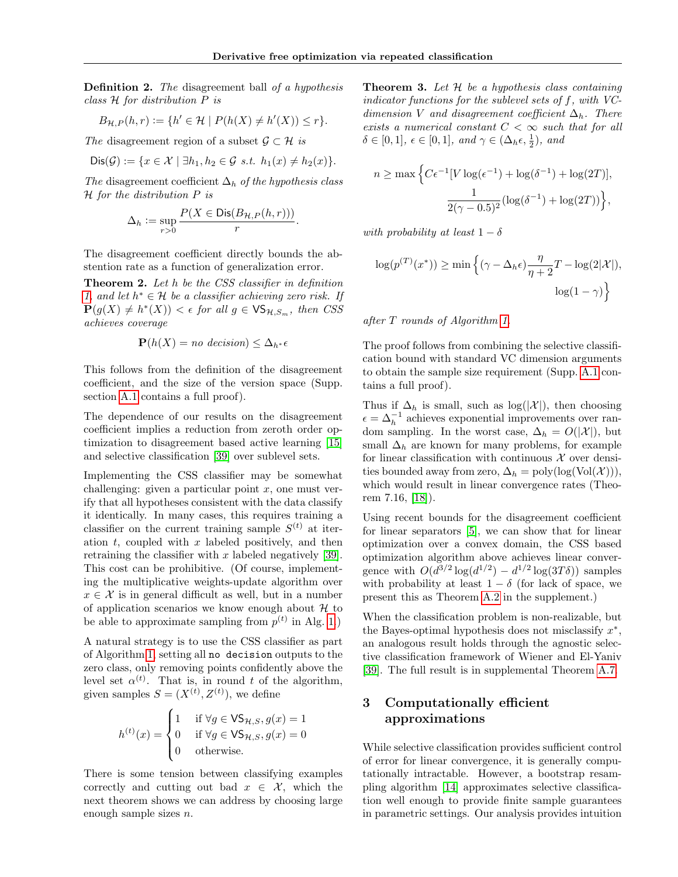Definition 2. The disagreement ball of a hypothesis class H for distribution P is

$$
B_{\mathcal{H},P}(h,r) := \{ h' \in \mathcal{H} \mid P(h(X) \neq h'(X)) \leq r \}.
$$

The disagreement region of a subset  $\mathcal{G} \subset \mathcal{H}$  is

$$
Dis(\mathcal{G}) := \{ x \in \mathcal{X} \mid \exists h_1, h_2 \in \mathcal{G} \text{ s.t. } h_1(x) \neq h_2(x) \}.
$$

The disagreement coefficient  $\Delta_h$  of the hypothesis class H for the distribution P is

$$
\Delta_h := \sup_{r>0} \frac{P(X \in \text{Dis}(B_{\mathcal{H},P}(h,r)))}{r}.
$$

The disagreement coefficient directly bounds the abstention rate as a function of generalization error.

<span id="page-3-1"></span>Theorem 2. Let h be the CSS classifier in definition [1,](#page-2-2) and let  $h^* \in \mathcal{H}$  be a classifier achieving zero risk. If  $\mathbf{P}(g(X) \neq h^*(X)) < \epsilon$  for all  $g \in \mathsf{VS}_{\mathcal{H},S_m}$ , then CSS achieves coverage

$$
\mathbf{P}(h(X) = no \text{ decision}) \leq \Delta_{h^*} \epsilon
$$

This follows from the definition of the disagreement coefficient, and the size of the version space (Supp. section A.1 contains a full proof).

The dependence of our results on the disagreement coefficient implies a reduction from zeroth order optimization to disagreement based active learning [\[15\]](#page-8-9) and selective classification [\[39\]](#page-9-9) over sublevel sets.

Implementing the CSS classifier may be somewhat challenging: given a particular point  $x$ , one must verify that all hypotheses consistent with the data classify it identically. In many cases, this requires training a classifier on the current training sample  $S^{(t)}$  at iteration  $t$ , coupled with  $x$  labeled positively, and then retraining the classifier with  $x$  labeled negatively [\[39\]](#page-9-9). This cost can be prohibitive. (Of course, implementing the multiplicative weights-update algorithm over  $x \in \mathcal{X}$  is in general difficult as well, but in a number of application scenarios we know enough about  $\mathcal H$  to be able to approximate sampling from  $p^{(t)}$  in Alg. [1.](#page-1-0))

A natural strategy is to use the CSS classifier as part of Algorithm [1,](#page-1-0) setting all no decision outputs to the zero class, only removing points confidently above the level set  $\alpha^{(t)}$ . That is, in round t of the algorithm, given samples  $S = (X^{(t)}, Z^{(t)})$ , we define

$$
h^{(t)}(x) = \begin{cases} 1 & \text{if } \forall g \in \mathsf{VS}_{\mathcal{H},S}, g(x) = 1 \\ 0 & \text{if } \forall g \in \mathsf{VS}_{\mathcal{H},S}, g(x) = 0 \\ 0 & \text{otherwise.} \end{cases}
$$

<span id="page-3-2"></span>There is some tension between classifying examples correctly and cutting out bad  $x \in \mathcal{X}$ , which the next theorem shows we can address by choosing large enough sample sizes n.

**Theorem 3.** Let  $H$  be a hypothesis class containing indicator functions for the sublevel sets of f, with VCdimension V and disagreement coefficient  $\Delta_h$ . There exists a numerical constant  $C < \infty$  such that for all  $\delta \in [0,1], \ \epsilon \in [0,1], \ and \ \gamma \in (\Delta_h \epsilon, \frac{1}{2}), \ and$ 

$$
n \ge \max \Big\{ C\epsilon^{-1} [V \log(\epsilon^{-1}) + \log(\delta^{-1}) + \log(2T)],
$$
  

$$
\frac{1}{2(\gamma - 0.5)^2} (\log(\delta^{-1}) + \log(2T)) \Big\},\
$$

with probability at least  $1 - \delta$ 

$$
\log(p^{(T)}(x^*)) \ge \min\left\{ (\gamma - \Delta_h \epsilon) \frac{\eta}{\eta + 2} T - \log(2|\mathcal{X}|), \right\}
$$

$$
\log(1 - \gamma) \right\}
$$

after T rounds of Algorithm [1.](#page-1-0)

The proof follows from combining the selective classification bound with standard VC dimension arguments to obtain the sample size requirement (Supp. A.1 contains a full proof).

Thus if  $\Delta_h$  is small, such as  $\log(|\mathcal{X}|)$ , then choosing  $\epsilon = \Delta_h^{-1}$  achieves exponential improvements over random sampling. In the worst case,  $\Delta_h = O(|\mathcal{X}|)$ , but small  $\Delta_h$  are known for many problems, for example for linear classification with continuous  $\mathcal X$  over densities bounded away from zero,  $\Delta_h = \text{poly}(\log(\text{Vol}(\mathcal{X}))),$ which would result in linear convergence rates (Theorem 7.16, [\[18\]](#page-8-12)).

Using recent bounds for the disagreement coefficient for linear separators [\[5\]](#page-8-13), we can show that for linear optimization over a convex domain, the CSS based optimization algorithm above achieves linear convergence with  $O(d^{3/2} \log(d^{1/2}) - d^{1/2} \log(3T\delta))$  samples with probability at least  $1 - \delta$  (for lack of space, we present this as Theorem [A.2](#page-3-1) in the supplement.)

When the classification problem is non-realizable, but the Bayes-optimal hypothesis does not misclassify  $x^*$ , an analogous result holds through the agnostic selective classification framework of Wiener and El-Yaniv [\[39\]](#page-9-9). The full result is in supplemental Theorem A.7.

# <span id="page-3-0"></span>3 Computationally efficient approximations

While selective classification provides sufficient control of error for linear convergence, it is generally computationally intractable. However, a bootstrap resampling algorithm [\[14\]](#page-8-14) approximates selective classification well enough to provide finite sample guarantees in parametric settings. Our analysis provides intuition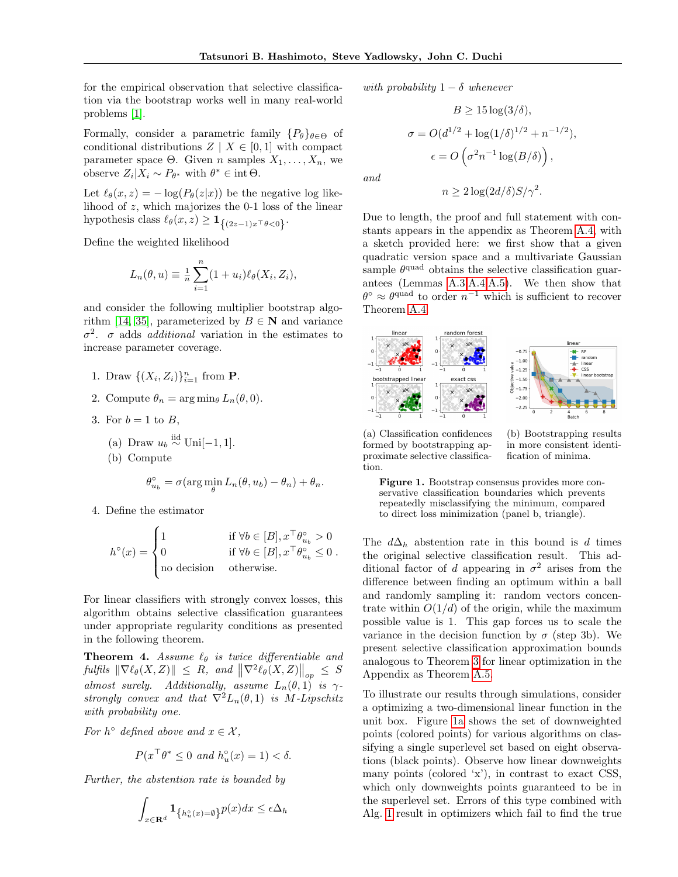and

for the empirical observation that selective classification via the bootstrap works well in many real-world problems [\[1\]](#page-8-15).

Formally, consider a parametric family  $\{P_{\theta}\}_{{\theta}\in\Theta}$  of conditional distributions  $Z \mid X \in [0,1]$  with compact parameter space Θ. Given *n* samples  $X_1, \ldots, X_n$ , we observe  $Z_i | X_i \sim P_{\theta^*}$  with  $\theta^* \in \text{int } \Theta$ .

Let  $\ell_{\theta}(x, z) = -\log(P_{\theta}(z|x))$  be the negative log likelihood of z, which majorizes the 0-1 loss of the linear hypothesis class  $\ell_{\theta}(x, z) \geq \mathbf{1}_{\{(2z-1)x^{\top} \theta < 0\}}$ .

Define the weighted likelihood

$$
L_n(\theta, u) \equiv \frac{1}{n} \sum_{i=1}^n (1 + u_i) \ell_{\theta}(X_i, Z_i),
$$

and consider the following multiplier bootstrap algo-rithm [\[14,](#page-8-14) [35\]](#page-9-10), parameterized by  $B \in \mathbb{N}$  and variance  $\sigma^2$ .  $\sigma$  adds *additional* variation in the estimates to increase parameter coverage.

- 1. Draw  $\{(X_i, Z_i)\}_{i=1}^n$  from **P**.
- 2. Compute  $\theta_n = \arg \min_{\theta} L_n(\theta, 0)$ .
- 3. For  $b = 1$  to  $B$ ,
	- (a) Draw  $u_b \stackrel{\text{iid}}{\sim} \text{Uni}[-1,1].$
	- (b) Compute

$$
\theta_{u_b}^{\circ} = \sigma(\arg\min_{\theta} L_n(\theta, u_b) - \theta_n) + \theta_n.
$$

4. Define the estimator

$$
h^{\circ}(x) = \begin{cases} 1 & \text{if } \forall b \in [B], x^{\top} \theta_{u_b}^{\circ} > 0 \\ 0 & \text{if } \forall b \in [B], x^{\top} \theta_{u_b}^{\circ} \leq 0 \\ \text{no decision} & \text{otherwise.} \end{cases}
$$

For linear classifiers with strongly convex losses, this algorithm obtains selective classification guarantees under appropriate regularity conditions as presented in the following theorem.

<span id="page-4-0"></span>**Theorem 4.** Assume  $\ell_{\theta}$  is twice differentiable and  $\| \nabla \ell_{\theta}(X, Z) \| \leq R$ , and  $\|\nabla^2 \ell_{\theta}(X, Z) \|_{op} \leq S$ almost surely. Additionally, assume  $L_n(\theta,1)$  is  $\gamma$ strongly convex and that  $\nabla^2 L_n(\theta,1)$  is M-Lipschitz with probability one.

For  $h^{\circ}$  defined above and  $x \in \mathcal{X}$ ,

$$
P(x^{\top}\theta^* \le 0 \text{ and } h_u^{\circ}(x) = 1) < \delta.
$$

Further, the abstention rate is bounded by

$$
\int_{x\in{\bf R}^d} {\bf 1}_{\left\{h_u^\circ(x)=\emptyset\right\}} p(x)dx \le \epsilon \Delta_h
$$

with probability  $1 - \delta$  whenever

$$
B \ge 15 \log(3/\delta),
$$
  
\n
$$
\sigma = O(d^{1/2} + \log(1/\delta)^{1/2} + n^{-1/2}),
$$
  
\n
$$
\epsilon = O\left(\sigma^2 n^{-1} \log(B/\delta)\right),
$$

$$
n \ge 2\log(2d/\delta)S/\gamma^2.
$$

Due to length, the proof and full statement with constants appears in the appendix as Theorem [A.4,](#page-4-0) with a sketch provided here: we first show that a given quadratic version space and a multivariate Gaussian sample  $\theta^{\text{quad}}$  obtains the selective classification guarantees (Lemmas A.3,A.4,A.5). We then show that  $\theta^{\circ} \approx \theta^{\text{quad}}$  to order  $n^{-1}$  which is sufficient to recover Theorem [A.4.](#page-4-0)

<span id="page-4-1"></span>

(a) Classification confidences formed by bootstrapping approximate selective classification.

(b) Bootstrapping results in more consistent identification of minima.

Figure 1. Bootstrap consensus provides more conservative classification boundaries which prevents repeatedly misclassifying the minimum, compared to direct loss minimization (panel b, triangle).

The  $d\Delta_h$  abstention rate in this bound is d times the original selective classification result. This additional factor of d appearing in  $\sigma^2$  arises from the difference between finding an optimum within a ball and randomly sampling it: random vectors concentrate within  $O(1/d)$  of the origin, while the maximum possible value is 1. This gap forces us to scale the variance in the decision function by  $\sigma$  (step 3b). We present selective classification approximation bounds analogous to Theorem [3](#page-3-2) for linear optimization in the Appendix as Theorem A.5.

To illustrate our results through simulations, consider a optimizing a two-dimensional linear function in the unit box. Figure [1a](#page-4-1) shows the set of downweighted points (colored points) for various algorithms on classifying a single superlevel set based on eight observations (black points). Observe how linear downweights many points (colored 'x'), in contrast to exact CSS, which only downweights points guaranteed to be in the superlevel set. Errors of this type combined with Alg. [1](#page-1-0) result in optimizers which fail to find the true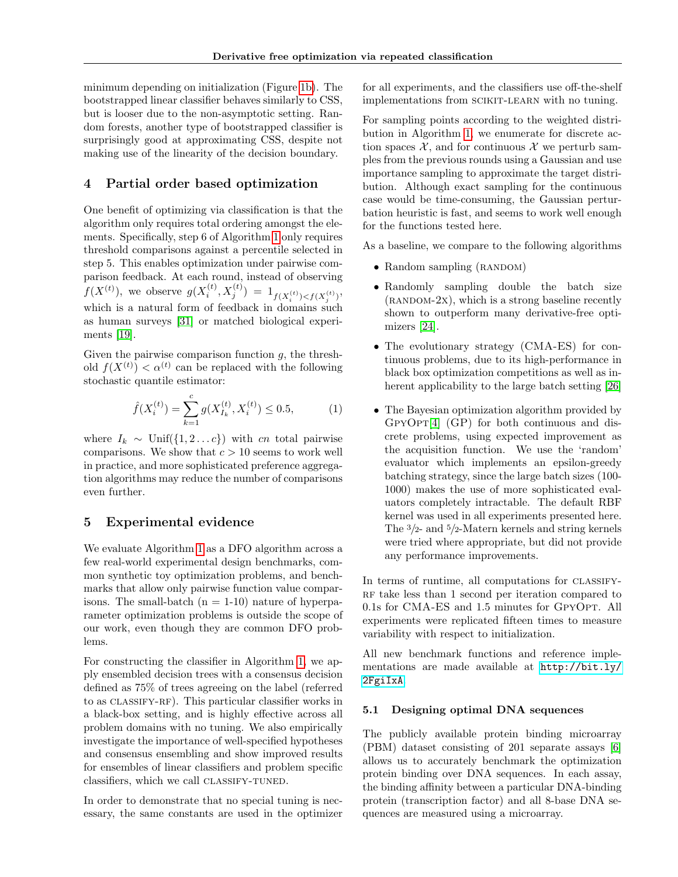minimum depending on initialization (Figure [1b\)](#page-4-1). The bootstrapped linear classifier behaves similarly to CSS, but is looser due to the non-asymptotic setting. Random forests, another type of bootstrapped classifier is surprisingly good at approximating CSS, despite not making use of the linearity of the decision boundary.

# 4 Partial order based optimization

One benefit of optimizing via classification is that the algorithm only requires total ordering amongst the elements. Specifically, step 6 of Algorithm [1](#page-1-0) only requires threshold comparisons against a percentile selected in step 5. This enables optimization under pairwise comparison feedback. At each round, instead of observing  $f(X^{(t)}),$  we observe  $g(X_i^{(t)}, X_j^{(t)}) = 1_{f(X_i^{(t)}) < f(X_j^{(t)})}$ , which is a natural form of feedback in domains such as human surveys [\[31\]](#page-9-11) or matched biological experiments [\[19\]](#page-8-16).

Given the pairwise comparison function  $q$ , the threshold  $f(X^{(t)}) < \alpha^{(t)}$  can be replaced with the following stochastic quantile estimator:

<span id="page-5-0"></span>
$$
\hat{f}(X_i^{(t)}) = \sum_{k=1}^c g(X_{I_k}^{(t)}, X_i^{(t)}) \le 0.5,\tag{1}
$$

where  $I_k \sim \text{Unif}(\{1, 2 \dots c\})$  with cn total pairwise comparisons. We show that  $c > 10$  seems to work well in practice, and more sophisticated preference aggregation algorithms may reduce the number of comparisons even further.

# 5 Experimental evidence

We evaluate Algorithm [1](#page-1-0) as a DFO algorithm across a few real-world experimental design benchmarks, common synthetic toy optimization problems, and benchmarks that allow only pairwise function value comparisons. The small-batch  $(n = 1-10)$  nature of hyperparameter optimization problems is outside the scope of our work, even though they are common DFO problems.

For constructing the classifier in Algorithm [1,](#page-1-0) we apply ensembled decision trees with a consensus decision defined as 75% of trees agreeing on the label (referred to as classify-rf). This particular classifier works in a black-box setting, and is highly effective across all problem domains with no tuning. We also empirically investigate the importance of well-specified hypotheses and consensus ensembling and show improved results for ensembles of linear classifiers and problem specific classifiers, which we call CLASSIFY-TUNED.

In order to demonstrate that no special tuning is necessary, the same constants are used in the optimizer for all experiments, and the classifiers use off-the-shelf implementations from scikit-learn with no tuning.

For sampling points according to the weighted distribution in Algorithm [1,](#page-1-0) we enumerate for discrete action spaces  $\mathcal{X}$ , and for continuous  $\mathcal{X}$  we perturb samples from the previous rounds using a Gaussian and use importance sampling to approximate the target distribution. Although exact sampling for the continuous case would be time-consuming, the Gaussian perturbation heuristic is fast, and seems to work well enough for the functions tested here.

As a baseline, we compare to the following algorithms

- Random sampling  $(RANDOM)$
- Randomly sampling double the batch size  $(RANDOM-2x)$ , which is a strong baseline recently shown to outperform many derivative-free optimizers [\[24\]](#page-8-17).
- The evolutionary strategy (CMA-ES) for continuous problems, due to its high-performance in black box optimization competitions as well as inherent applicability to the large batch setting [\[26\]](#page-9-6)
- The Bayesian optimization algorithm provided by  $GPYOPT[4]$  $GPYOPT[4]$   $(GP)$  for both continuous and discrete problems, using expected improvement as the acquisition function. We use the 'random' evaluator which implements an epsilon-greedy batching strategy, since the large batch sizes (100- 1000) makes the use of more sophisticated evaluators completely intractable. The default RBF kernel was used in all experiments presented here. The 3/2- and 5/2-Matern kernels and string kernels were tried where appropriate, but did not provide any performance improvements.

In terms of runtime, all computations for CLASSIFY-RF take less than 1 second per iteration compared to 0.1s for CMA-ES and 1.5 minutes for GpyOpt. All experiments were replicated fifteen times to measure variability with respect to initialization.

All new benchmark functions and reference implementations are made available at [http://bit.ly/](http://bit.ly/2FgiIxA) [2FgiIxA](http://bit.ly/2FgiIxA).

### 5.1 Designing optimal DNA sequences

The publicly available protein binding microarray (PBM) dataset consisting of 201 separate assays [\[6\]](#page-8-19) allows us to accurately benchmark the optimization protein binding over DNA sequences. In each assay, the binding affinity between a particular DNA-binding protein (transcription factor) and all 8-base DNA sequences are measured using a microarray.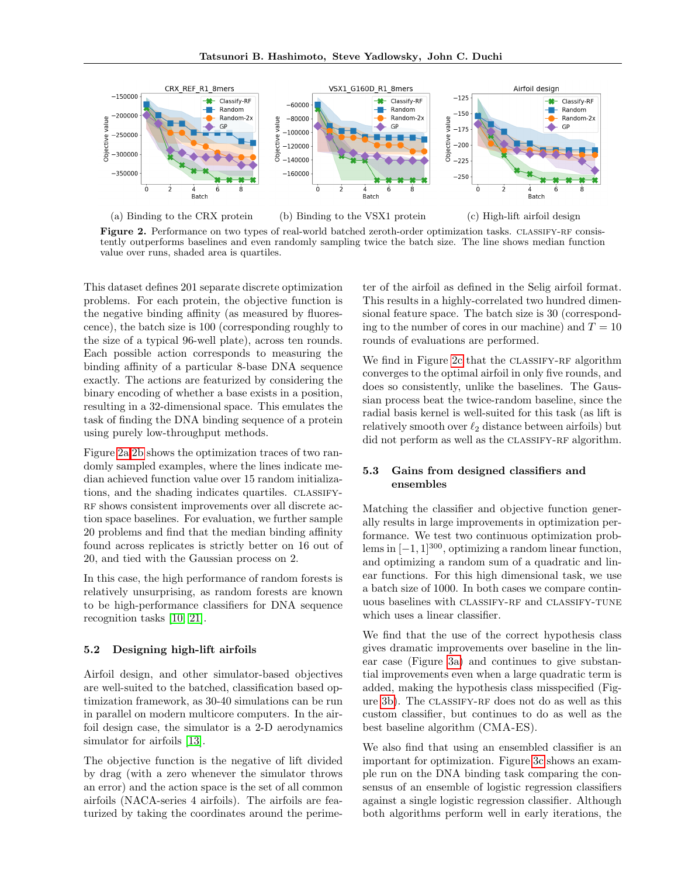<span id="page-6-0"></span>

(a) Binding to the CRX protein (b) Binding to the VSX1 protein (c) High-lift airfoil design

Figure 2. Performance on two types of real-world batched zeroth-order optimization tasks. CLASSIFY-RF consistently outperforms baselines and even randomly sampling twice the batch size. The line shows median function value over runs, shaded area is quartiles.

This dataset defines 201 separate discrete optimization problems. For each protein, the objective function is the negative binding affinity (as measured by fluorescence), the batch size is 100 (corresponding roughly to the size of a typical 96-well plate), across ten rounds. Each possible action corresponds to measuring the binding affinity of a particular 8-base DNA sequence exactly. The actions are featurized by considering the binary encoding of whether a base exists in a position, resulting in a 32-dimensional space. This emulates the task of finding the DNA binding sequence of a protein using purely low-throughput methods.

Figure [2a,2b](#page-6-0) shows the optimization traces of two randomly sampled examples, where the lines indicate median achieved function value over 15 random initializations, and the shading indicates quartiles. CLASSIFY-RF shows consistent improvements over all discrete action space baselines. For evaluation, we further sample 20 problems and find that the median binding affinity found across replicates is strictly better on 16 out of 20, and tied with the Gaussian process on 2.

In this case, the high performance of random forests is relatively unsurprising, as random forests are known to be high-performance classifiers for DNA sequence recognition tasks [\[10,](#page-8-20) [21\]](#page-8-0).

### 5.2 Designing high-lift airfoils

Airfoil design, and other simulator-based objectives are well-suited to the batched, classification based optimization framework, as 30-40 simulations can be run in parallel on modern multicore computers. In the airfoil design case, the simulator is a 2-D aerodynamics simulator for airfoils [\[13\]](#page-8-21).

The objective function is the negative of lift divided by drag (with a zero whenever the simulator throws an error) and the action space is the set of all common airfoils (NACA-series 4 airfoils). The airfoils are featurized by taking the coordinates around the perime-

ter of the airfoil as defined in the Selig airfoil format. This results in a highly-correlated two hundred dimensional feature space. The batch size is 30 (corresponding to the number of cores in our machine) and  $T = 10$ rounds of evaluations are performed.

We find in Figure [2c](#page-6-0) that the CLASSIFY-RF algorithm converges to the optimal airfoil in only five rounds, and does so consistently, unlike the baselines. The Gaussian process beat the twice-random baseline, since the radial basis kernel is well-suited for this task (as lift is relatively smooth over  $\ell_2$  distance between airfoils) but did not perform as well as the CLASSIFY-RF algorithm.

# 5.3 Gains from designed classifiers and ensembles

Matching the classifier and objective function generally results in large improvements in optimization performance. We test two continuous optimization problems in  $[-1, 1]^{300}$ , optimizing a random linear function, and optimizing a random sum of a quadratic and linear functions. For this high dimensional task, we use a batch size of 1000. In both cases we compare continuous baselines with CLASSIFY-RF and CLASSIFY-TUNE which uses a linear classifier.

We find that the use of the correct hypothesis class gives dramatic improvements over baseline in the linear case (Figure [3a\)](#page-7-0) and continues to give substantial improvements even when a large quadratic term is added, making the hypothesis class misspecified (Figure [3b\)](#page-7-0). The classify-rf does not do as well as this custom classifier, but continues to do as well as the best baseline algorithm (CMA-ES).

We also find that using an ensembled classifier is an important for optimization. Figure [3c](#page-7-0) shows an example run on the DNA binding task comparing the consensus of an ensemble of logistic regression classifiers against a single logistic regression classifier. Although both algorithms perform well in early iterations, the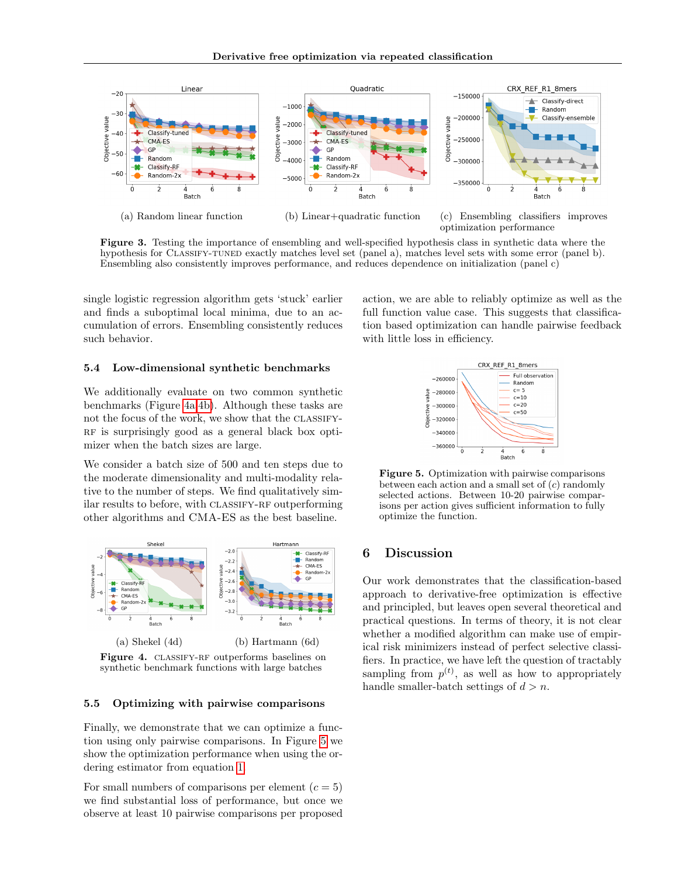<span id="page-7-0"></span>

Figure 3. Testing the importance of ensembling and well-specified hypothesis class in synthetic data where the hypothesis for CLASSIFY-TUNED exactly matches level set (panel a), matches level sets with some error (panel b). Ensembling also consistently improves performance, and reduces dependence on initialization (panel c)

single logistic regression algorithm gets 'stuck' earlier and finds a suboptimal local minima, due to an accumulation of errors. Ensembling consistently reduces such behavior.

### 5.4 Low-dimensional synthetic benchmarks

We additionally evaluate on two common synthetic benchmarks (Figure [4a,4b\)](#page-7-1). Although these tasks are not the focus of the work, we show that the CLASSIFY-RF is surprisingly good as a general black box optimizer when the batch sizes are large.

We consider a batch size of 500 and ten steps due to the moderate dimensionality and multi-modality relative to the number of steps. We find qualitatively similar results to before, with CLASSIFY-RF outperforming other algorithms and CMA-ES as the best baseline.

<span id="page-7-1"></span>

Figure 4. CLASSIFY-RF outperforms baselines on synthetic benchmark functions with large batches

#### 5.5 Optimizing with pairwise comparisons

Finally, we demonstrate that we can optimize a function using only pairwise comparisons. In Figure [5](#page-7-2) we show the optimization performance when using the ordering estimator from equation [1.](#page-5-0)

For small numbers of comparisons per element  $(c = 5)$ we find substantial loss of performance, but once we observe at least 10 pairwise comparisons per proposed <span id="page-7-2"></span>action, we are able to reliably optimize as well as the full function value case. This suggests that classification based optimization can handle pairwise feedback with little loss in efficiency.



Figure 5. Optimization with pairwise comparisons between each action and a small set of (c) randomly selected actions. Between 10-20 pairwise comparisons per action gives sufficient information to fully optimize the function.

# 6 Discussion

Our work demonstrates that the classification-based approach to derivative-free optimization is effective and principled, but leaves open several theoretical and practical questions. In terms of theory, it is not clear whether a modified algorithm can make use of empirical risk minimizers instead of perfect selective classifiers. In practice, we have left the question of tractably sampling from  $p^{(t)}$ , as well as how to appropriately handle smaller-batch settings of  $d > n$ .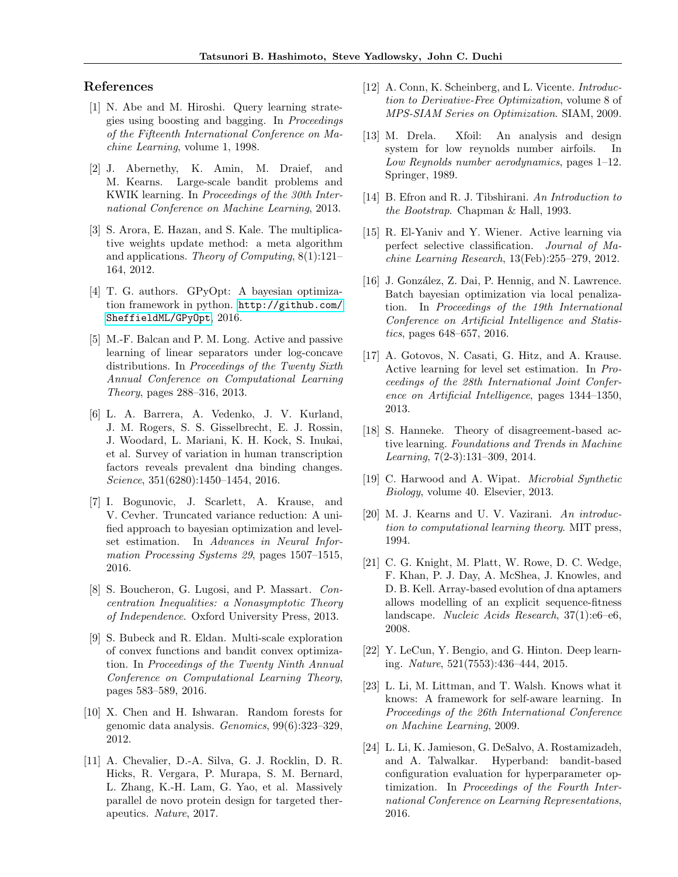# References

- <span id="page-8-15"></span>[1] N. Abe and M. Hiroshi. Query learning strategies using boosting and bagging. In Proceedings of the Fifteenth International Conference on Machine Learning, volume 1, 1998.
- <span id="page-8-11"></span>[2] J. Abernethy, K. Amin, M. Draief, and M. Kearns. Large-scale bandit problems and KWIK learning. In Proceedings of the 30th International Conference on Machine Learning, 2013.
- <span id="page-8-2"></span>[3] S. Arora, E. Hazan, and S. Kale. The multiplicative weights update method: a meta algorithm and applications. Theory of Computing, 8(1):121– 164, 2012.
- <span id="page-8-18"></span>[4] T. G. authors. GPyOpt: A bayesian optimization framework in python. [http://github.com/](http://github.com/SheffieldML/GPyOpt) [SheffieldML/GPyOpt](http://github.com/SheffieldML/GPyOpt), 2016.
- <span id="page-8-13"></span>[5] M.-F. Balcan and P. M. Long. Active and passive learning of linear separators under log-concave distributions. In Proceedings of the Twenty Sixth Annual Conference on Computational Learning Theory, pages 288–316, 2013.
- <span id="page-8-19"></span>[6] L. A. Barrera, A. Vedenko, J. V. Kurland, J. M. Rogers, S. S. Gisselbrecht, E. J. Rossin, J. Woodard, L. Mariani, K. H. Kock, S. Inukai, et al. Survey of variation in human transcription factors reveals prevalent dna binding changes. Science, 351(6280):1450–1454, 2016.
- <span id="page-8-3"></span>[7] I. Bogunovic, J. Scarlett, A. Krause, and V. Cevher. Truncated variance reduction: A unified approach to bayesian optimization and levelset estimation. In Advances in Neural Information Processing Systems 29, pages 1507–1515, 2016.
- [8] S. Boucheron, G. Lugosi, and P. Massart. Concentration Inequalities: a Nonasymptotic Theory of Independence. Oxford University Press, 2013.
- <span id="page-8-4"></span>[9] S. Bubeck and R. Eldan. Multi-scale exploration of convex functions and bandit convex optimization. In Proceedings of the Twenty Ninth Annual Conference on Computational Learning Theory, pages 583–589, 2016.
- <span id="page-8-20"></span>[10] X. Chen and H. Ishwaran. Random forests for genomic data analysis. Genomics, 99(6):323–329, 2012.
- <span id="page-8-1"></span>[11] A. Chevalier, D.-A. Silva, G. J. Rocklin, D. R. Hicks, R. Vergara, P. Murapa, S. M. Bernard, L. Zhang, K.-H. Lam, G. Yao, et al. Massively parallel de novo protein design for targeted therapeutics. Nature, 2017.
- <span id="page-8-5"></span>[12] A. Conn, K. Scheinberg, and L. Vicente. *Introduc*tion to Derivative-Free Optimization, volume 8 of MPS-SIAM Series on Optimization. SIAM, 2009.
- <span id="page-8-21"></span>[13] M. Drela. Xfoil: An analysis and design system for low reynolds number airfoils. In Low Reynolds number aerodynamics, pages 1–12. Springer, 1989.
- <span id="page-8-14"></span>[14] B. Efron and R. J. Tibshirani. An Introduction to the Bootstrap. Chapman & Hall, 1993.
- <span id="page-8-9"></span>[15] R. El-Yaniv and Y. Wiener. Active learning via perfect selective classification. Journal of Machine Learning Research, 13(Feb):255–279, 2012.
- <span id="page-8-6"></span>[16] J. González, Z. Dai, P. Hennig, and N. Lawrence. Batch bayesian optimization via local penalization. In Proceedings of the 19th International Conference on Artificial Intelligence and Statistics, pages 648–657, 2016.
- <span id="page-8-7"></span>[17] A. Gotovos, N. Casati, G. Hitz, and A. Krause. Active learning for level set estimation. In Proceedings of the 28th International Joint Conference on Artificial Intelligence, pages 1344–1350, 2013.
- <span id="page-8-12"></span>[18] S. Hanneke. Theory of disagreement-based active learning. Foundations and Trends in Machine Learning, 7(2-3):131–309, 2014.
- <span id="page-8-16"></span>[19] C. Harwood and A. Wipat. Microbial Synthetic Biology, volume 40. Elsevier, 2013.
- [20] M. J. Kearns and U. V. Vazirani. An introduction to computational learning theory. MIT press, 1994.
- <span id="page-8-0"></span>[21] C. G. Knight, M. Platt, W. Rowe, D. C. Wedge, F. Khan, P. J. Day, A. McShea, J. Knowles, and D. B. Kell. Array-based evolution of dna aptamers allows modelling of an explicit sequence-fitness landscape. Nucleic Acids Research, 37(1):e6–e6, 2008.
- <span id="page-8-8"></span>[22] Y. LeCun, Y. Bengio, and G. Hinton. Deep learning. Nature, 521(7553):436–444, 2015.
- <span id="page-8-10"></span>[23] L. Li, M. Littman, and T. Walsh. Knows what it knows: A framework for self-aware learning. In Proceedings of the 26th International Conference on Machine Learning, 2009.
- <span id="page-8-17"></span>[24] L. Li, K. Jamieson, G. DeSalvo, A. Rostamizadeh, and A. Talwalkar. Hyperband: bandit-based configuration evaluation for hyperparameter optimization. In Proceedings of the Fourth International Conference on Learning Representations, 2016.